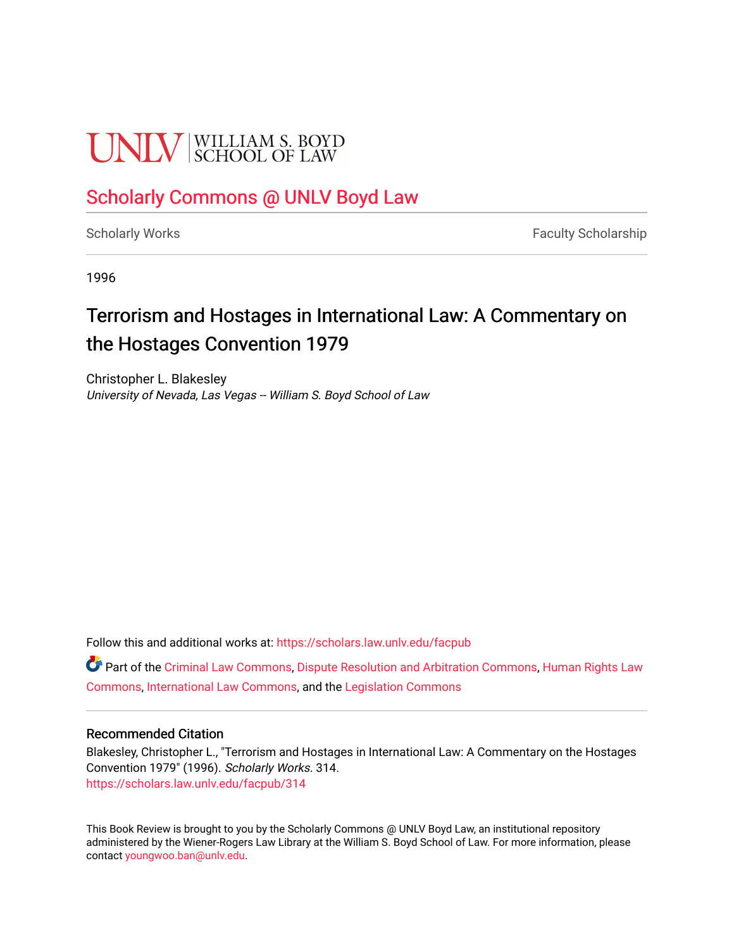## **UNIV** SCHOOL OF LAW

## [Scholarly Commons @ UNLV Boyd Law](https://scholars.law.unlv.edu/)

[Scholarly Works](https://scholars.law.unlv.edu/facpub) **Faculty Scholarship** Faculty Scholarship

1996

## Terrorism and Hostages in International Law: A Commentary on the Hostages Convention 1979

Christopher L. Blakesley University of Nevada, Las Vegas -- William S. Boyd School of Law

Follow this and additional works at: [https://scholars.law.unlv.edu/facpub](https://scholars.law.unlv.edu/facpub?utm_source=scholars.law.unlv.edu%2Ffacpub%2F314&utm_medium=PDF&utm_campaign=PDFCoverPages)

**C** Part of the [Criminal Law Commons,](http://network.bepress.com/hgg/discipline/912?utm_source=scholars.law.unlv.edu%2Ffacpub%2F314&utm_medium=PDF&utm_campaign=PDFCoverPages) [Dispute Resolution and Arbitration Commons](http://network.bepress.com/hgg/discipline/890?utm_source=scholars.law.unlv.edu%2Ffacpub%2F314&utm_medium=PDF&utm_campaign=PDFCoverPages), Human Rights Law [Commons](http://network.bepress.com/hgg/discipline/847?utm_source=scholars.law.unlv.edu%2Ffacpub%2F314&utm_medium=PDF&utm_campaign=PDFCoverPages), [International Law Commons,](http://network.bepress.com/hgg/discipline/609?utm_source=scholars.law.unlv.edu%2Ffacpub%2F314&utm_medium=PDF&utm_campaign=PDFCoverPages) and the [Legislation Commons](http://network.bepress.com/hgg/discipline/859?utm_source=scholars.law.unlv.edu%2Ffacpub%2F314&utm_medium=PDF&utm_campaign=PDFCoverPages)

## Recommended Citation

Blakesley, Christopher L., "Terrorism and Hostages in International Law: A Commentary on the Hostages Convention 1979" (1996). Scholarly Works. 314. [https://scholars.law.unlv.edu/facpub/314](https://scholars.law.unlv.edu/facpub/314?utm_source=scholars.law.unlv.edu%2Ffacpub%2F314&utm_medium=PDF&utm_campaign=PDFCoverPages)

This Book Review is brought to you by the Scholarly Commons @ UNLV Boyd Law, an institutional repository administered by the Wiener-Rogers Law Library at the William S. Boyd School of Law. For more information, please contact [youngwoo.ban@unlv.edu](mailto:youngwoo.ban@unlv.edu).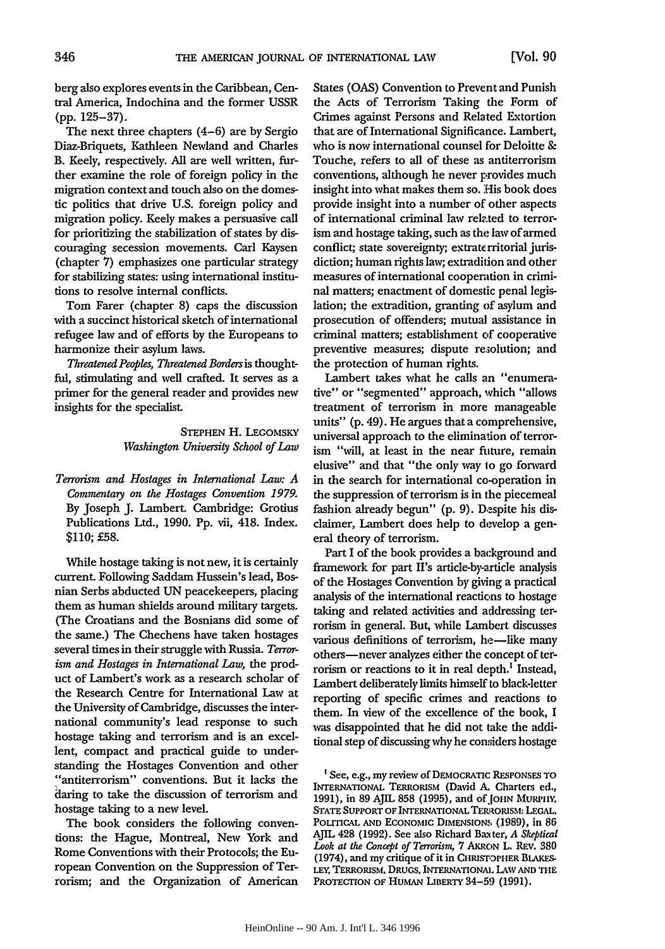berg also explores events in the Caribbean, Central America, Indochina and the former USSR **(pp.** 125-37).

The next three chapters (4-6) are **by** Sergio Diaz-Briquets, Kathleen Newland and Charles B. Keely, respectively. **All** are well written, further examine the role of foreign policy in the migration context and touch also on the domestic politics that drive **U.S.** foreign policy and migration policy. Keely makes a persuasive call for prioritizing the stabilization of states **by** discouraging secession movements. Carl Kaysen (chapter **7)** emphasizes one particular strategy for stabilizing states: using international institutions to resolve internal conflicts.

Tom Farer (chapter **8)** caps the discussion with a succinct historical sketch of international refugee law and of efforts **by** the Europeans to harmonize their asylum laws.

*Threatened Peoples, Threatened Borders is* thoughtful, stimulating and well crafted. It serves as a primer for the general reader and provides new insights for the specialist.

> **STEPHEN** H. LEGOMSKY *Washington University School of Law*

*Terrorism and Hostages in International Law: A Commentary on the Hostages Convention 1979.* By Joseph J. Lambert. Cambridge: Grotius Publications Ltd., 1990. Pp. vii, 418. Index. \$110; **£58.**

While hostage taking is not new, it is certainly current. Following Saddam Hussein's lead, Bosnian Serbs abducted **UN** peacekeepers, placing them as human shields around military targets. (The Croatians and the Bosnians did some of the same.) The Chechens have taken hostages several times in their struggle with Russia. *Terrorism and Hostages in International Law,* the product of Lambert's work as a research scholar of the Research Centre for International Law at the University of Cambridge, discusses the international community's lead response to such hostage taking and terrorism and is an excellent, compact and practical guide to understanding the Hostages Convention and other "antiterrorism" conventions. But it lacks the daring to take the discussion of terrorism and hostage taking to a new level.

The book considers the following conventions: the Hague, Montreal, New York and Rome Conventions with their Protocols; the European Convention on the Suppression of Terrorism; and the Organization of American States (OAS) Convention to Prevent and Punish the Acts of Terrorism Taking the Form of Crimes against Persons and Related Extortion that are of International Significance. Lambert, who is now international counsel for Deloitte **&** Touche, refers to all of these as antiterrorism conventions, although he never provides much insight into what makes them so. His book does provide insight into a number of other aspects of international criminal law related to terrorism and hostage taking, such as the law of armed conflict; state sovereignty; extraterritorial jurisdiction; human rights law; extradition and other measures of international cooperation in criminal matters; enactment of domestic penal legislation; the extradition, granting of asylum and prosecution of offenders; mutual assistance in criminal matters; establishment of cooperative preventive measures; dispute resolution; and the protection of human rights.

Lambert takes what he calls an "enumerative" or "segmented" approach, which "allows treatment of terrorism in more manageable units" (p. 49). He argues that a comprehensive, universal approach to the elimination of terrorism "will, at least in the near future, remain elusive" and that "the only way to go forward in the search for international co-operation in the suppression of terrorism is in the piecemeal fashion already begun" (p. **9).** Despite his disclaimer, Lambert does help to develop a general theory of terrorism.

Part I of the book provides a background and framework for part II's article-by-article analysis of the Hostages Convention by giving a practical analysis of the international reactions to hostage taking and related activities and addressing terrorism in general. But, while Lambert discusses various definitions of terrorism, he-like many others-never analyzes either the concept of terrorism or reactions to it in real depth.' Instead, Lambert deliberately limits himself to black-letter reporting of specific crimes and reactions to them. In view of the excellence of the book, I was disappointed that he did not take the additional step of discussing why he considers hostage

<sup>&</sup>lt;sup>1</sup> See, e.g., my review of DEMOCRATIC RESPONSES TO INTERNATIONAL TERRORIsM (David **A.** Charters **ed.,** 1991), in 89 AJIL 858 (1995), and of JOHN MURPHY, STATE SUPPORT OF INTERNATIONAL TERRORISM: LEGAL. POLrTICAL **AND** ECONOMIc **DIMENSIONS** (1989), in **86** AJIL 428 (1992). See also Richard Baxter, *A Skeptical Look at the Concept of Terrorism,* 7 AKRON L. REV. 380 (1974), and my critique of it in CHRISTOPHER BLAKES-LEY, TERRORISM, DRUGS, INTERNATIONAL LAW AND THE PROTECTION OF HUMAN LIBERTY 34-59 (1991).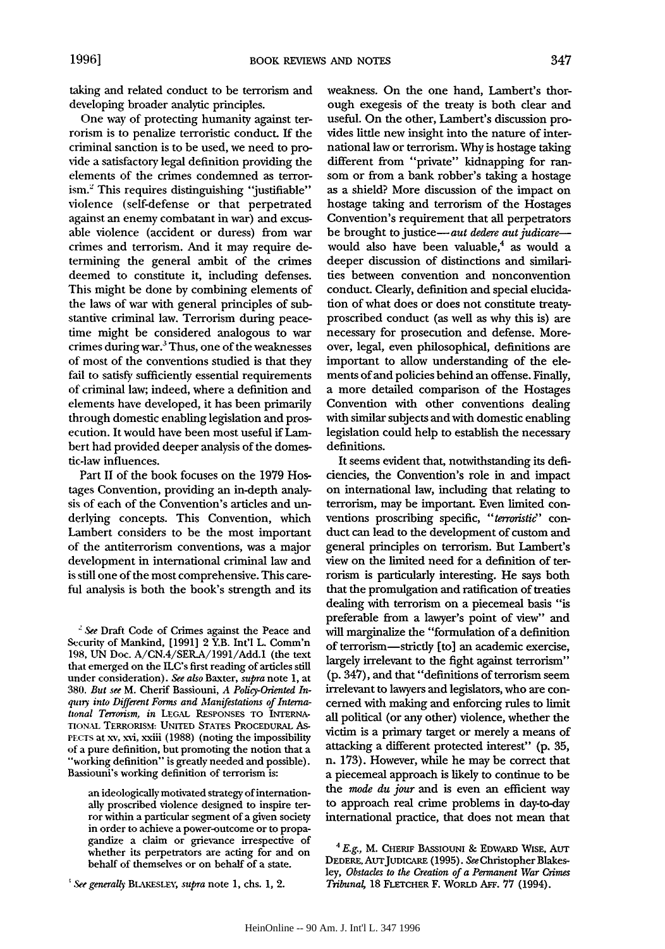taking and related conduct to be terrorism and developing broader analytic principles.

One way of protecting humanity against terrorism is to penalize terroristic conduct. **If** the criminal sanction is to be used, we need to provide a satisfactory legal definition providing the elements of the crimes condemned as terrorism.' This requires distinguishing "justifiable" violence (self-defense or that perpetrated against an enemy combatant in war) and excusable violence (accident or duress) from war crimes and terrorism. And it may require determining the general ambit of the crimes deemed to constitute it, including defenses. This might be done **by** combining elements of the laws of war with general principles of substantive criminal law. Terrorism during peacetime might be considered analogous to war crimes during war.3 Thus, one of the weaknesses of most of the conventions studied is that they fail to satisfy sufficiently essential requirements of criminal law; indeed, where a definition and elements have developed, it has been primarily through domestic enabling legislation and prosecution. It would have been most useful if Lambert had provided deeper analysis of the domestic-law influences.

Part II of the book focuses on the 1979 Hostages Convention, providing an in-depth analysis of each of the Convention's articles and underlying concepts. This Convention, which Lambert considers to be the most important of the antiterrorism conventions, was a major development in international criminal law and is still one of the most comprehensive. This careful analysis is both the book's strength and its

*-'See* Draft Code of Crimes against the Peace and Security of Mankind, [1991] 2 Y.B. Int'l L. Comm'n 198, UN Doc. A/CN.4/SER.A/1991/Add.1 (the text that emerged on the ILC's first reading of articles still under consideration). *See also* Baxter, *supra* note 1, at 380. *But see* M. Cherif Bassiouni, A *Policy-Oriented In*quiry into Different Forms and Manifestations of International Terrorism, in LEGAL RESPONSES TO INTERNA-**TIONAL** TERRORISM: **UNITED** STATES PROCEDURAL As-PECTS at xv, xvi, xxiii (1988) (noting the impossibility of a pure definition, but promoting the notion that a "working definition" is greatly needed and possible). Bassiouni's working definition of terrorism is:

an ideologically motivated strategy of internationally proscribed violence designed to inspire ter- ror within a particular segment of a given society in order to achieve a power-outcome or to propagandize a claim or grievance irrespective of whether its perpetrators are acting for and on behalf of themselves or on behalf of a state.

weakness. On the one hand, Lambert's thorough exegesis of the treaty is both clear and useful. On the other, Lambert's discussion provides little new insight into the nature of international law or terrorism. **Why** is hostage taking different from "private" kidnapping for ransom or from a bank robber's taking a hostage as a shield? More discussion of the impact on hostage taking and terrorism of the Hostages Convention's requirement that all perpetrators be brought to justice-aut dedere aut judicarewould also have been valuable,<sup>4</sup> as would a deeper discussion of distinctions and similarities between convention and nonconvention conduct. Clearly, definition and special elucidation of what does or does not constitute treatyproscribed conduct (as well as why this is) are necessary for prosecution and defense. Moreover, legal, even philosophical, definitions are important to allow understanding of the elements of and policies behind an offense. Finally, a more detailed comparison of the Hostages Convention with other conventions dealing with similar subjects and with domestic enabling legislation could help to establish the necessary definitions.

It seems evident that, notwithstanding its deficiencies, the Convention's role in and impact on international law, including that relating to terrorism, may be important. Even limited conventions proscribing specific, "terroristic" conduct can lead to the development of custom and general principles on terrorism. But Lambert's view on the limited need for a definition of terrorism is particularly interesting. He says both that the promulgation and ratification of treaties dealing with terrorism on a piecemeal basis "is preferable from a lawyer's point of view" and will marginalize the "formulation of a definition of terrorism-strictly [to] an academic exercise, largely irrelevant to the fight against terrorism" **(p.** 347), and that "definitions of terrorism seem irrelevant to lawyers and legislators, who are concerned with making and enforcing rules to limit all political (or any other) violence, whether the victim is a primary target or merely a means of attacking a different protected interest" (p. 35, n. 173). However, while he may be correct that a piecemeal approach is likely to continue to be the *mode du jour* and is even an efficient way to approach real crime problems in day-to-day international practice, that does not mean that

<sup>&</sup>lt;sup>*s*</sup> See generally **BLAKESLEY**, *supra* note 1, chs. 1, 2.

<sup>4</sup>*E.g.,* M. CHERIF **BAssIouNI &** EDWARD WISE, **Aur** DEDERE, AUTJUDICARE (1995). *See* Christopher Blakesley, *Obstacles to the Creation of a Permanent War Crimes Tribuna4* 18 FLETCHER F. WoRLD Arr. 77 (1994).